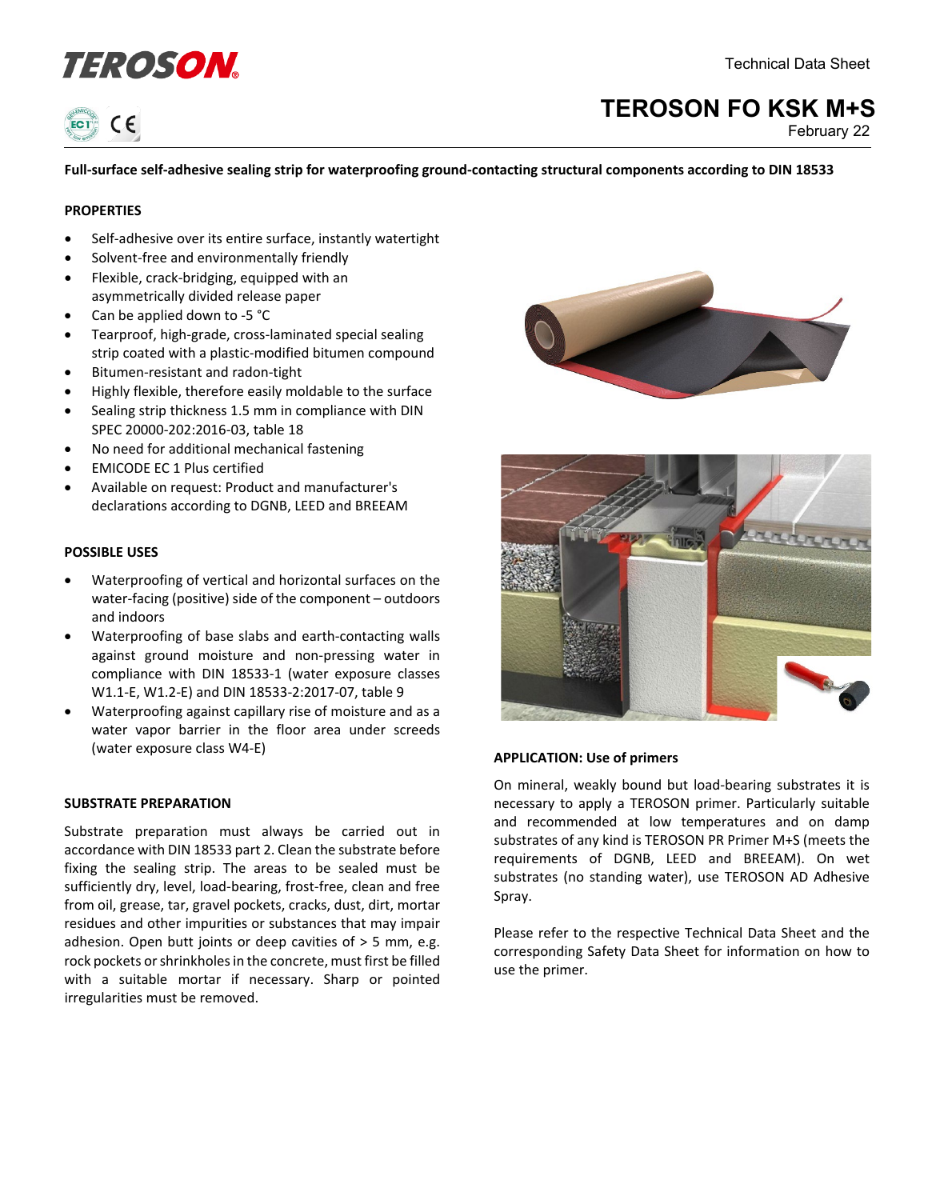



# **TEROSON FO KSK M+S**

February 22

# **Full-surface self-adhesive sealing strip for waterproofing ground-contacting structural components according to DIN 18533**

#### **PROPERTIES**

- Self-adhesive over its entire surface, instantly watertight
- Solvent-free and environmentally friendly
- Flexible, crack-bridging, equipped with an asymmetrically divided release paper
- Can be applied down to -5 °C
- Tearproof, high-grade, cross-laminated special sealing strip coated with a plastic-modified bitumen compound
- Bitumen-resistant and radon-tight
- Highly flexible, therefore easily moldable to the surface
- Sealing strip thickness 1.5 mm in compliance with DIN SPEC 20000-202:2016-03, table 18
- No need for additional mechanical fastening
- EMICODE EC 1 Plus certified
- Available on request: Product and manufacturer's declarations according to DGNB, LEED and BREEAM

#### **POSSIBLE USES**

- Waterproofing of vertical and horizontal surfaces on the water-facing (positive) side of the component – outdoors and indoors
- Waterproofing of base slabs and earth-contacting walls against ground moisture and non-pressing water in compliance with DIN 18533-1 (water exposure classes W1.1-E, W1.2-E) and DIN 18533-2:2017-07, table 9
- Waterproofing against capillary rise of moisture and as a water vapor barrier in the floor area under screeds (water exposure class W4-E)

#### **SUBSTRATE PREPARATION**

Substrate preparation must always be carried out in accordance with DIN 18533 part 2. Clean the substrate before fixing the sealing strip. The areas to be sealed must be sufficiently dry, level, load-bearing, frost-free, clean and free from oil, grease, tar, gravel pockets, cracks, dust, dirt, mortar residues and other impurities or substances that may impair adhesion. Open butt joints or deep cavities of > 5 mm, e.g. rock pockets or shrinkholes in the concrete, must first be filled with a suitable mortar if necessary. Sharp or pointed irregularities must be removed.





# **APPLICATION: Use of primers**

On mineral, weakly bound but load-bearing substrates it is necessary to apply a TEROSON primer. Particularly suitable and recommended at low temperatures and on damp substrates of any kind is TEROSON PR Primer M+S (meets the requirements of DGNB, LEED and BREEAM). On wet substrates (no standing water), use TEROSON AD Adhesive Spray.

Please refer to the respective Technical Data Sheet and the corresponding Safety Data Sheet for information on how to use the primer.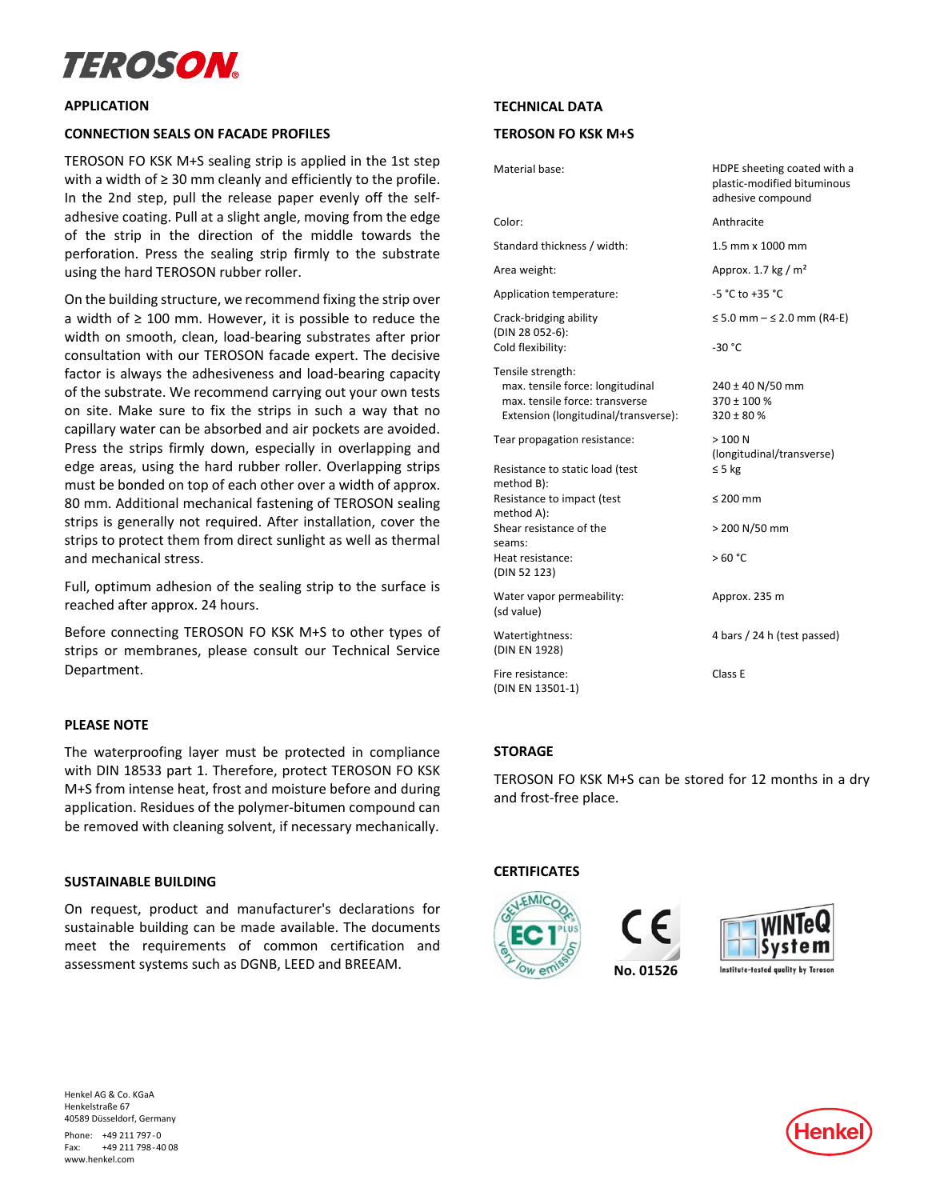# TEROSON

#### **APPLICATION**

#### **CONNECTION SEALS ON FACADE PROFILES**

TEROSON FO KSK M+S sealing strip is applied in the 1st step with a width of ≥ 30 mm cleanly and efficiently to the profile. In the 2nd step, pull the release paper evenly off the selfadhesive coating. Pull at a slight angle, moving from the edge of the strip in the direction of the middle towards the perforation. Press the sealing strip firmly to the substrate using the hard TEROSON rubber roller.

On the building structure, we recommend fixing the strip over a width of  $\geq 100$  mm. However, it is possible to reduce the width on smooth, clean, load-bearing substrates after prior consultation with our TEROSON facade expert. The decisive factor is always the adhesiveness and load-bearing capacity of the substrate. We recommend carrying out your own tests on site. Make sure to fix the strips in such a way that no capillary water can be absorbed and air pockets are avoided. Press the strips firmly down, especially in overlapping and edge areas, using the hard rubber roller. Overlapping strips must be bonded on top of each other over a width of approx. 80 mm. Additional mechanical fastening of TEROSON sealing strips is generally not required. After installation, cover the strips to protect them from direct sunlight as well as thermal and mechanical stress.

Full, optimum adhesion of the sealing strip to the surface is reached after approx. 24 hours.

Before connecting TEROSON FO KSK M+S to other types of strips or membranes, please consult our Technical Service Department.

# **PLEASE NOTE**

The waterproofing layer must be protected in compliance with DIN 18533 part 1. Therefore, protect TEROSON FO KSK M+S from intense heat, frost and moisture before and during application. Residues of the polymer-bitumen compound can be removed with cleaning solvent, if necessary mechanically.

#### **SUSTAINABLE BUILDING**

On request, product and manufacturer's declarations for sustainable building can be made available. The documents meet the requirements of common certification and assessment systems such as DGNB, LEED and BREEAM.

#### **TECHNICAL DATA**

# **TEROSON FO KSK M+S**

| Material base:                                                                                                                  | HDPE sheeting coated with a<br>plastic-modified bituminous<br>adhesive compound |
|---------------------------------------------------------------------------------------------------------------------------------|---------------------------------------------------------------------------------|
| Color:                                                                                                                          | Anthracite                                                                      |
| Standard thickness / width:                                                                                                     | 1.5 mm x 1000 mm                                                                |
| Area weight:                                                                                                                    | Approx. 1.7 kg / $m2$                                                           |
| Application temperature:                                                                                                        | -5 °C to +35 °C                                                                 |
| Crack-bridging ability<br>(DIN 28 052-6):                                                                                       | ≤ 5.0 mm $-$ ≤ 2.0 mm (R4-E)                                                    |
| Cold flexibility:                                                                                                               | $-30 °C$                                                                        |
| Tensile strength:<br>max. tensile force: longitudinal<br>max, tensile force: transverse<br>Extension (longitudinal/transverse): | 240 ± 40 N/50 mm<br>$370 \pm 100 %$<br>$320 \pm 80 \%$                          |
| Tear propagation resistance:                                                                                                    | >100 N<br>(longitudinal/transverse)                                             |
| Resistance to static load (test<br>method B):                                                                                   | $\leq$ 5 kg                                                                     |
| Resistance to impact (test<br>method A):                                                                                        | $\leq 200$ mm                                                                   |
| Shear resistance of the<br>seams:                                                                                               | > 200 N/50 mm                                                                   |
| Heat resistance:<br>(DIN 52 123)                                                                                                | >60 °C                                                                          |
| Water vapor permeability:<br>(sd value)                                                                                         | Approx. 235 m                                                                   |
| Watertightness:<br>(DIN EN 1928)                                                                                                | 4 bars / 24 h (test passed)                                                     |
| Fire resistance:<br>(DIN EN 13501-1)                                                                                            | Class E                                                                         |

# **STORAGE**

TEROSON FO KSK M+S can be stored for 12 months in a dry and frost-free place.

 **No. 01526**

# **CERTIFICATES**





Henkel AG & Co. KGaA Henkelstraße 67 40589 Düsseldorf, Germany Phone: +49 211 797-0 Fax: +49 211 798-40 08

www.henkel.com